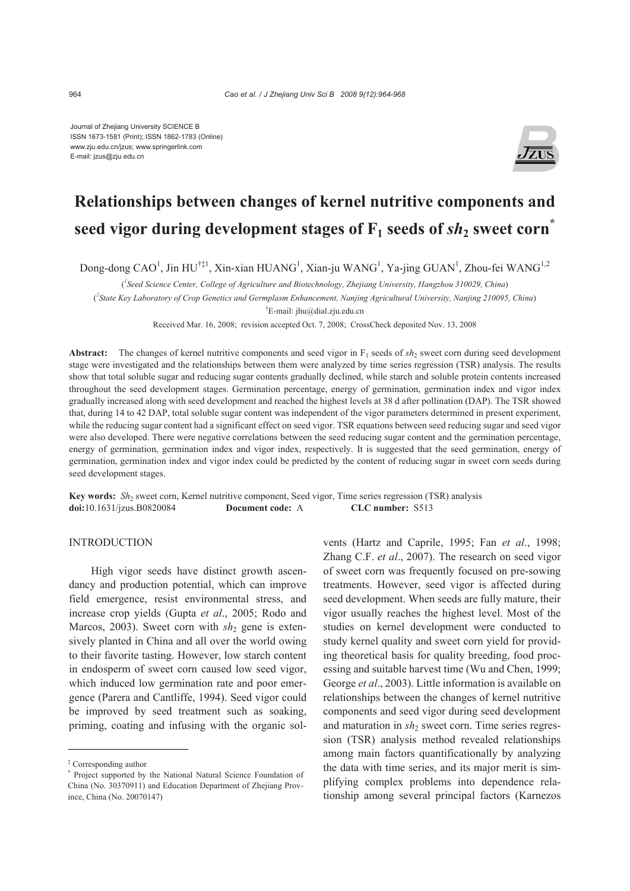Journal of Zhejiang University SCIENCE B ISSN 1673-1581 (Print); ISSN 1862-1783 (Online) www.zju.edu.cn/jzus; www.springerlink.com E-mail: jzus@zju.edu.cn



# **Relationships between changes of kernel nutritive components and**  seed vigor during development stages of  $F_1$  seeds of  $s h_2$  sweet corn<sup>\*</sup>

Dong-dong CAO<sup>1</sup>, Jin HU<sup>†‡1</sup>, Xin-xian HUANG<sup>1</sup>, Xian-ju WANG<sup>1</sup>, Ya-jing GUAN<sup>1</sup>, Zhou-fei WANG<sup>1,2</sup>

( *1 Seed Science Center, College of Agriculture and Biotechnology, Zhejiang University, Hangzhou 310029, China*)

( *2 State Key Laboratory of Crop Genetics and Germplasm Enhancement, Nanjing Agricultural University, Nanjing 210095, China*)

† E-mail: jhu@dial.zju.edu.cn

Received Mar. 16, 2008; revision accepted Oct. 7, 2008; CrossCheck deposited Nov. 13, 2008

**Abstract:** The changes of kernel nutritive components and seed vigor in  $F_1$  seeds of  $sh_2$  sweet corn during seed development stage were investigated and the relationships between them were analyzed by time series regression (TSR) analysis. The results show that total soluble sugar and reducing sugar contents gradually declined, while starch and soluble protein contents increased throughout the seed development stages. Germination percentage, energy of germination, germination index and vigor index gradually increased along with seed development and reached the highest levels at 38 d after pollination (DAP). The TSR showed that, during 14 to 42 DAP, total soluble sugar content was independent of the vigor parameters determined in present experiment, while the reducing sugar content had a significant effect on seed vigor. TSR equations between seed reducing sugar and seed vigor were also developed. There were negative correlations between the seed reducing sugar content and the germination percentage, energy of germination, germination index and vigor index, respectively. It is suggested that the seed germination, energy of germination, germination index and vigor index could be predicted by the content of reducing sugar in sweet corn seeds during seed development stages.

**Key words:** *Sh<sub>2</sub>* sweet corn, Kernel nutritive component, Seed vigor, Time series regression (TSR) analysis **doi:**10.1631/jzus.B0820084 **Document code:** A **CLC number:** S513

## INTRODUCTION

High vigor seeds have distinct growth ascendancy and production potential, which can improve field emergence, resist environmental stress, and increase crop yields (Gupta *et al*., 2005; Rodo and Marcos, 2003). Sweet corn with  $sh<sub>2</sub>$  gene is extensively planted in China and all over the world owing to their favorite tasting. However, low starch content in endosperm of sweet corn caused low seed vigor, which induced low germination rate and poor emergence (Parera and Cantliffe, 1994). Seed vigor could be improved by seed treatment such as soaking, priming, coating and infusing with the organic solvents (Hartz and Caprile, 1995; Fan *et al*., 1998; Zhang C.F. *et al*., 2007). The research on seed vigor of sweet corn was frequently focused on pre-sowing treatments. However, seed vigor is affected during seed development. When seeds are fully mature, their vigor usually reaches the highest level. Most of the studies on kernel development were conducted to study kernel quality and sweet corn yield for providing theoretical basis for quality breeding, food processing and suitable harvest time (Wu and Chen, 1999; George *et al*., 2003). Little information is available on relationships between the changes of kernel nutritive components and seed vigor during seed development and maturation in  $sh_2$  sweet corn. Time series regression (TSR) analysis method revealed relationships among main factors quantificationally by analyzing the data with time series, and its major merit is simplifying complex problems into dependence relationship among several principal factors (Karnezos

<sup>‡</sup> Corresponding author

<sup>\*</sup> Project supported by the National Natural Science Foundation of China (No. 30370911) and Education Department of Zhejiang Province, China (No. 20070147)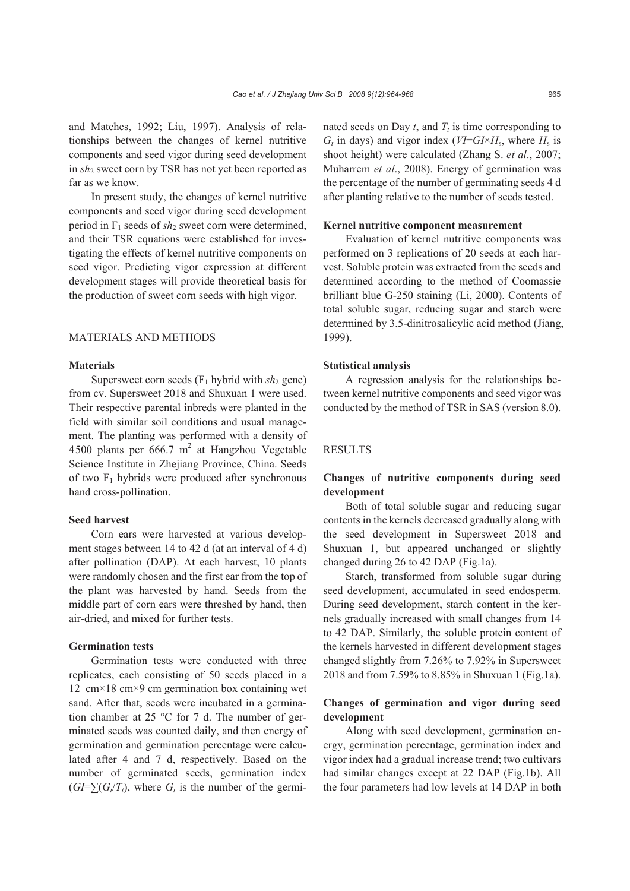and Matches, 1992; Liu, 1997). Analysis of relationships between the changes of kernel nutritive components and seed vigor during seed development in *sh*2 sweet corn by TSR has not yet been reported as far as we know.

In present study, the changes of kernel nutritive components and seed vigor during seed development period in F1 seeds of *sh*2 sweet corn were determined, and their TSR equations were established for investigating the effects of kernel nutritive components on seed vigor. Predicting vigor expression at different development stages will provide theoretical basis for the production of sweet corn seeds with high vigor.

#### MATERIALS AND METHODS

## **Materials**

Supersweet corn seeds  $(F_1$  hybrid with  $sh_2$  gene) from cv. Supersweet 2018 and Shuxuan 1 were used. Their respective parental inbreds were planted in the field with similar soil conditions and usual management. The planting was performed with a density of 4500 plants per  $666.7 \text{ m}^2$  at Hangzhou Vegetable Science Institute in Zhejiang Province, China. Seeds of two  $F_1$  hybrids were produced after synchronous hand cross-pollination.

#### **Seed harvest**

Corn ears were harvested at various development stages between 14 to 42 d (at an interval of 4 d) after pollination (DAP). At each harvest, 10 plants were randomly chosen and the first ear from the top of the plant was harvested by hand. Seeds from the middle part of corn ears were threshed by hand, then air-dried, and mixed for further tests.

#### **Germination tests**

Germination tests were conducted with three replicates, each consisting of 50 seeds placed in a 12 cm×18 cm×9 cm germination box containing wet sand. After that, seeds were incubated in a germination chamber at 25 °C for 7 d. The number of germinated seeds was counted daily, and then energy of germination and germination percentage were calculated after 4 and 7 d, respectively. Based on the number of germinated seeds, germination index  $(GI=\sum(G_i/T_t)$ , where  $G_t$  is the number of the germinated seeds on Day  $t$ , and  $T_t$  is time corresponding to  $G_t$  in days) and vigor index ( $VI = GI \times H_s$ , where  $H_s$  is shoot height) were calculated (Zhang S. *et al*., 2007; Muharrem *et al*., 2008). Energy of germination was the percentage of the number of germinating seeds 4 d after planting relative to the number of seeds tested.

#### **Kernel nutritive component measurement**

Evaluation of kernel nutritive components was performed on 3 replications of 20 seeds at each harvest. Soluble protein was extracted from the seeds and determined according to the method of Coomassie brilliant blue G-250 staining (Li, 2000). Contents of total soluble sugar, reducing sugar and starch were determined by 3,5-dinitrosalicylic acid method (Jiang, 1999).

#### **Statistical analysis**

A regression analysis for the relationships between kernel nutritive components and seed vigor was conducted by the method of TSR in SAS (version 8.0).

## RESULTS

## **Changes of nutritive components during seed development**

Both of total soluble sugar and reducing sugar contents in the kernels decreased gradually along with the seed development in Supersweet 2018 and Shuxuan 1, but appeared unchanged or slightly changed during 26 to 42 DAP (Fig.1a).

Starch, transformed from soluble sugar during seed development, accumulated in seed endosperm. During seed development, starch content in the kernels gradually increased with small changes from 14 to 42 DAP. Similarly, the soluble protein content of the kernels harvested in different development stages changed slightly from 7.26% to 7.92% in Supersweet 2018 and from 7.59% to 8.85% in Shuxuan 1 (Fig.1a).

## **Changes of germination and vigor during seed development**

Along with seed development, germination energy, germination percentage, germination index and vigor index had a gradual increase trend; two cultivars had similar changes except at 22 DAP (Fig.1b). All the four parameters had low levels at 14 DAP in both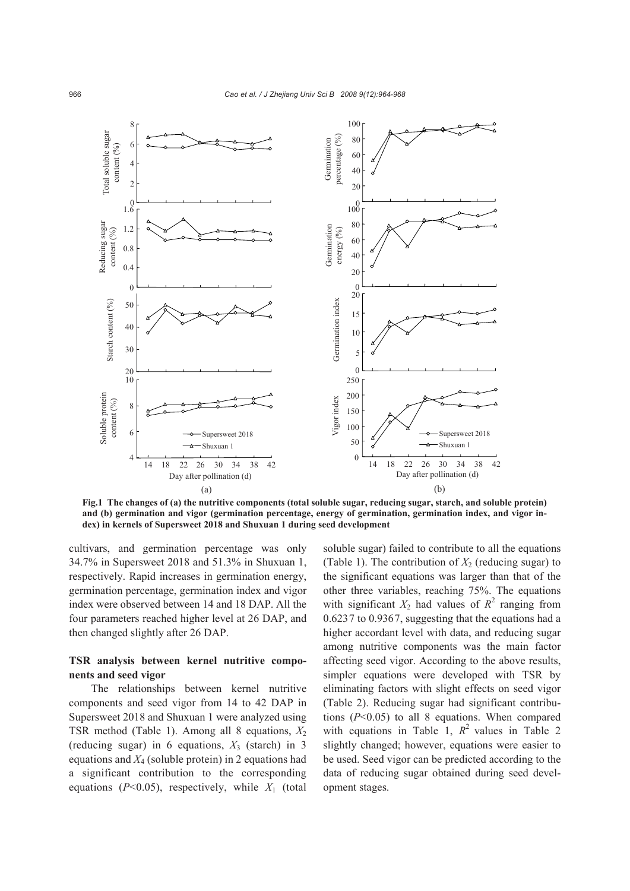

**Fig.1 The changes of (a) the nutritive components (total soluble sugar, reducing sugar, starch, and soluble protein) and (b) germination and vigor (germination percentage, energy of germination, germination index, and vigor index) in kernels of Supersweet 2018 and Shuxuan 1 during seed development**

cultivars, and germination percentage was only 34.7% in Supersweet 2018 and 51.3% in Shuxuan 1, respectively. Rapid increases in germination energy, germination percentage, germination index and vigor index were observed between 14 and 18 DAP. All the four parameters reached higher level at 26 DAP, and then changed slightly after 26 DAP.

# **TSR analysis between kernel nutritive components and seed vigor**

The relationships between kernel nutritive components and seed vigor from 14 to 42 DAP in Supersweet 2018 and Shuxuan 1 were analyzed using TSR method (Table 1). Among all 8 equations,  $X_2$ (reducing sugar) in 6 equations,  $X_3$  (starch) in 3 equations and  $X_4$  (soluble protein) in 2 equations had a significant contribution to the corresponding equations ( $P<0.05$ ), respectively, while  $X_1$  (total

soluble sugar) failed to contribute to all the equations (Table 1). The contribution of  $X_2$  (reducing sugar) to the significant equations was larger than that of the other three variables, reaching 75%. The equations with significant  $X_2$  had values of  $R^2$  ranging from 0.6237 to 0.9367, suggesting that the equations had a higher accordant level with data, and reducing sugar among nutritive components was the main factor affecting seed vigor. According to the above results, simpler equations were developed with TSR by eliminating factors with slight effects on seed vigor (Table 2). Reducing sugar had significant contributions (*P*<0.05) to all 8 equations. When compared with equations in Table 1,  $R^2$  values in Table 2 slightly changed; however, equations were easier to be used. Seed vigor can be predicted according to the data of reducing sugar obtained during seed development stages.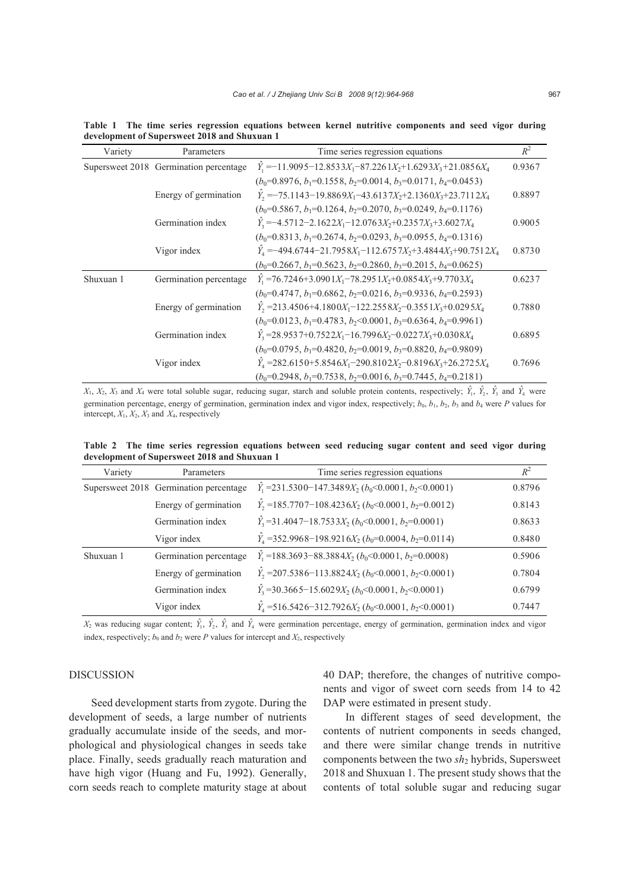| Variety   | Parameters                             | Time series regression equations                                                                                 | $R^2$  |
|-----------|----------------------------------------|------------------------------------------------------------------------------------------------------------------|--------|
|           | Supersweet 2018 Germination percentage | $\hat{Y}_1 = -11.9095 - 12.8533X_1 - 87.2261X_2 + 1.6293X_3 + 21.0856X_4$                                        | 0.9367 |
|           |                                        | $(b_0=0.8976, b_1=0.1558, b_2=0.0014, b_3=0.0171, b_4=0.0453)$                                                   |        |
|           | Energy of germination                  | $\hat{Y}_2 = -75.1143 - 19.8869X_1 - 43.6137X_2 + 2.1360X_3 + 23.7112X_4$                                        | 0.8897 |
|           |                                        | $(b_0=0.5867, b_1=0.1264, b_2=0.2070, b_3=0.0249, b_4=0.1176)$                                                   |        |
|           | Germination index                      | $\hat{Y}_3 = -4.5712 - 2.1622X_1 - 12.0763X_2 + 0.2357X_3 + 3.6027X_4$                                           | 0.9005 |
|           |                                        | $(b_0=0.8313, b_1=0.2674, b_2=0.0293, b_3=0.0955, b_4=0.1316)$                                                   |        |
|           | Vigor index                            | $\hat{Y}_4 = -494.6744 - 21.7958X_1 - 112.6757X_2 + 3.4844X_3 + 90.7512X_4$                                      | 0.8730 |
|           |                                        | $(b_0=0.2667, b_1=0.5623, b_2=0.2860, b_3=0.2015, b_4=0.0625)$                                                   |        |
| Shuxuan 1 | Germination percentage                 | $\hat{Y}_1$ = 76.7246+3.090 1 $X_1$ - 78.295 1 $X_2$ + 0.085 4 $X_3$ + 9.770 3 $X_4$                             | 0.6237 |
|           |                                        | $(b_0=0.4747, b_1=0.6862, b_2=0.0216, b_3=0.9336, b_4=0.2593)$                                                   |        |
|           | Energy of germination                  | $\hat{Y}_2$ = 213.4506+4.1800 $X_1$ - 122.2558 $X_2$ - 0.3551 $X_3$ + 0.0295 $X_4$                               | 0.7880 |
|           |                                        | $(b_0=0.0123, b_1=0.4783, b_2<0.0001, b_3=0.6364, b_4=0.9961)$                                                   |        |
|           | Germination index                      | $\hat{Y}_3$ = 28.9537+0.7522 $X_1$ - 16.7996 $X_2$ - 0.0227 $X_3$ + 0.0308 $X_4$                                 | 0.6895 |
|           |                                        | $(b_0=0.0795, b_1=0.4820, b_2=0.0019, b_3=0.8820, b_4=0.9809)$                                                   |        |
|           | Vigor index                            | $\hat{Y}_4$ = 282.6150+5.8546X <sub>1</sub> -290.8102X <sub>2</sub> -0.8196X <sub>3</sub> +26.2725X <sub>4</sub> | 0.7696 |
|           |                                        | $(b_0=0.2948, b_1=0.7538, b_2=0.0016, b_3=0.7445, b_4=0.2181)$                                                   |        |

**Table 1 The time series regression equations between kernel nutritive components and seed vigor during development of Supersweet 2018 and Shuxuan 1**

 $X_1, X_2, X_3$  and  $X_4$  were total soluble sugar, reducing sugar, starch and soluble protein contents, respectively;  $\hat{Y}_1, \hat{Y}_2, \hat{Y}_3$  and  $\hat{Y}_4$  were germination percentage, energy of germination, germination index and vigor index, respectively;  $b_0$ ,  $b_1$ ,  $b_2$ ,  $b_3$  and  $b_4$  were *P* values for intercept,  $X_1, X_2, X_3$  and  $X_4$ , respectively

**Table 2 The time series regression equations between seed reducing sugar content and seed vigor during development of Supersweet 2018 and Shuxuan 1**

| Variety   | Parameters                             | Time series regression equations                                          | $R^2$  |
|-----------|----------------------------------------|---------------------------------------------------------------------------|--------|
|           | Supersweet 2018 Germination percentage | $\hat{Y}_1$ = 231.5300 – 147.3489 $X_2$ ( $b_0$ < 0.0001, $b_2$ < 0.0001) | 0.8796 |
|           | Energy of germination                  | $\hat{Y}_2$ =185.7707-108.4236 $X_2$ ( $b_0$ <0.0001, $b_2$ =0.0012)      | 0.8143 |
|           | Germination index                      | $\hat{Y}_3$ = 31.4047–18.7533 $X_2$ ( $b_0$ <0.0001, $b_2$ =0.0001)       | 0.8633 |
|           | Vigor index                            | $\hat{Y}_4$ =352.9968-198.9216 $X_2$ ( $b_0$ =0.0004, $b_2$ =0.0114)      | 0.8480 |
| Shuxuan 1 | Germination percentage                 | $\hat{Y}_1$ = 188.3693–88.3884 $X_2$ ( $b_0$ <0.0001, $b_2$ =0.0008)      | 0.5906 |
|           | Energy of germination                  | $\hat{Y}_2$ = 207.5386-113.8824 $X_2$ ( $b_0$ <0.0001, $b_2$ <0.0001)     | 0.7804 |
|           | Germination index                      | $\hat{Y}_3$ = 30.3665–15.6029 $X_2$ ( $b_0$ <0.0001, $b_2$ <0.0001)       | 0.6799 |
|           | Vigor index                            | $\hat{Y}_4$ = 516.5426-312.7926 $X_2$ ( $b_0$ < 0.0001, $b_2$ < 0.0001)   | 0.7447 |

 $X_2$  was reducing sugar content;  $\hat{Y}_1$ ,  $\hat{Y}_2$ ,  $\hat{Y}_3$  and  $\hat{Y}_4$  were germination percentage, energy of germination, germination index and vigor index, respectively;  $b_0$  and  $b_2$  were *P* values for intercept and  $X_2$ , respectively

#### DISCUSSION

Seed development starts from zygote. During the development of seeds, a large number of nutrients gradually accumulate inside of the seeds, and morphological and physiological changes in seeds take place. Finally, seeds gradually reach maturation and have high vigor (Huang and Fu, 1992). Generally, corn seeds reach to complete maturity stage at about 40 DAP; therefore, the changes of nutritive components and vigor of sweet corn seeds from 14 to 42 DAP were estimated in present study.

In different stages of seed development, the contents of nutrient components in seeds changed, and there were similar change trends in nutritive components between the two *sh*<sub>2</sub> hybrids, Supersweet 2018 and Shuxuan 1. The present study shows that the contents of total soluble sugar and reducing sugar